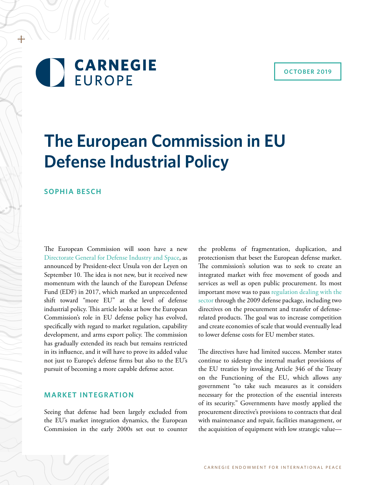# **CARNEGIE EUROPE**

# **The European Commission in EU Defense Industrial Policy**

# **SOPHIA BESCH**

+

The European Commission will soon have a new [Directorate General for Defense Industry and Space,](https://www.reuters.com/article/eu-jobs-defence/update-1-eu-creates-defence-and-space-branch-to-complement-nato-idUSL5N2613T0) as announced by President-elect Ursula von der Leyen on September 10. The idea is not new, but it received new momentum with the launch of the European Defense Fund (EDF) in 2017, which marked an unprecedented shift toward "more EU" at the level of defense industrial policy. This article looks at how the European Commission's role in EU defense policy has evolved, specifically with regard to market regulation, capability development, and arms export policy. The commission has gradually extended its reach but remains restricted in its influence, and it will have to prove its added value not just to Europe's defense firms but also to the EU's pursuit of becoming a more capable defense actor.

# **MARKET INTEGRATION**

Seeing that defense had been largely excluded from the EU's market integration dynamics, the European Commission in the early 2000s set out to counter the problems of fragmentation, duplication, and protectionism that beset the European defense market. The commission's solution was to seek to create an integrated market with free movement of goods and services as well as open public procurement. Its most important move was to pass [regulation dealing with the](http://www.europarl.europa.eu/RegData/etudes/STUD/2015/549044/EXPO_STU(2015)549044_EN.pdf)  [sector](http://www.europarl.europa.eu/RegData/etudes/STUD/2015/549044/EXPO_STU(2015)549044_EN.pdf) through the 2009 defense package, including two directives on the procurement and transfer of defenserelated products. The goal was to increase competition and create economies of scale that would eventually lead to lower defense costs for EU member states.

The directives have had limited success. Member states continue to sidestep the internal market provisions of the EU treaties by invoking Article 346 of the Treaty on the Functioning of the EU, which allows any government "to take such measures as it considers necessary for the protection of the essential interests of its security." Governments have mostly applied the procurement directive's provisions to contracts that deal with maintenance and repair, facilities management, or the acquisition of equipment with low strategic value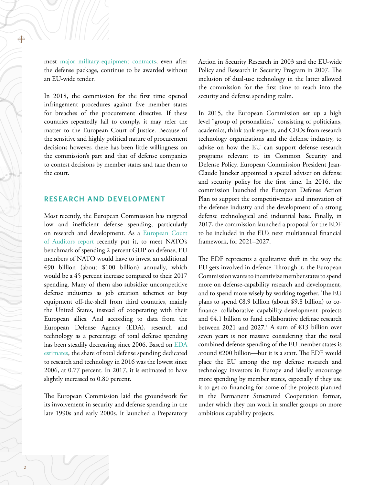most [major military-equipment contracts,](https://ec.europa.eu/transparency/regdoc/rep/1/2016/EN/COM-2016-762-F1-EN-MAIN.PDF) even after the defense package, continue to be awarded without an EU-wide tender.

In 2018, the commission for the first time opened infringement procedures against five member states for breaches of the procurement directive. If these countries repeatedly fail to comply, it may refer the matter to the European Court of Justice. Because of the sensitive and highly political nature of procurement decisions however, there has been little willingness on the commission's part and that of defense companies to contest decisions by member states and take them to the court.

#### **RESEARCH AND DEVELOPMENT**

Most recently, the European Commission has targeted low and inefficient defense spending, particularly on research and development. As a [European Court](https://www.eca.europa.eu/en/Pages/DocItem.aspx?did=51055)  [of Auditors report](https://www.eca.europa.eu/en/Pages/DocItem.aspx?did=51055) recently put it, to meet NATO's benchmark of spending 2 percent GDP on defense, EU members of NATO would have to invest an additional €90 billion (about \$100 billion) annually, which would be a 45 percent increase compared to their 2017 spending. Many of them also subsidize uncompetitive defense industries as job creation schemes or buy equipment off-the-shelf from third countries, mainly the United States, instead of cooperating with their European allies. And according to data from the European Defense Agency (EDA), research and technology as a percentage of total defense spending has been steadily decreasing since 2006. Based on [EDA](https://www.eda.europa.eu/docs/default-source/brochures/eda_defencedata_a4) [estimates](https://www.eda.europa.eu/docs/default-source/brochures/eda_defencedata_a4), the share of total defense spending dedicated to research and technology in 2016 was the lowest since 2006, at 0.77 percent. In 2017, it is estimated to have slightly increased to 0.80 percent.

The European Commission laid the groundwork for its involvement in security and defense spending in the late 1990s and early 2000s. It launched a Preparatory Action in Security Research in 2003 and the EU-wide Policy and Research in Security Program in 2007. The inclusion of dual-use technology in the latter allowed the commission for the first time to reach into the security and defense spending realm.

In 2015, the European Commission set up a high level "group of personalities," consisting of politicians, academics, think tank experts, and CEOs from research technology organizations and the defense industry, to advise on how the EU can support defense research programs relevant to its Common Security and Defense Policy. European Commission President Jean-Claude Juncker appointed a special adviser on defense and security policy for the first time. In 2016, the commission launched the European Defense Action Plan to support the competitiveness and innovation of the defense industry and the development of a strong defense technological and industrial base. Finally, in 2017, the commission launched a proposal for the EDF to be included in the EU's next multiannual financial framework, for 2021–2027.

The EDF represents a qualitative shift in the way the EU gets involved in defense. Through it, the European Commission wants to incentivize member states to spend more on defense-capability research and development, and to spend more wisely by working together. The EU plans to spend €8.9 billion (about \$9.8 billion) to cofinance collaborative capability-development projects and €4.1 billion to fund collaborative defense research between 2021 and 2027.<sup>1</sup> A sum of  $\epsilon$ 13 billion over seven years is not massive considering that the total combined defense spending of the EU member states is around €200 billion—but it is a start. The EDF would place the EU among the top defense research and technology investors in Europe and ideally encourage more spending by member states, especially if they use it to get co-financing for some of the projects planned in the Permanent Structured Cooperation format, under which they can work in smaller groups on more ambitious capability projects.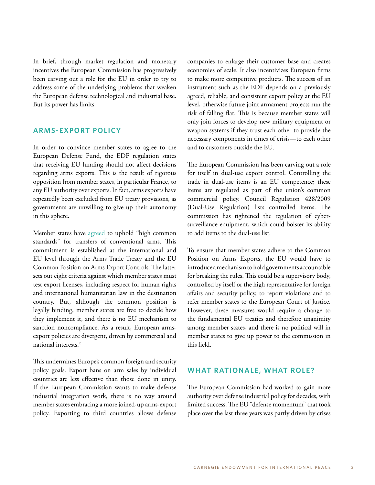In brief, through market regulation and monetary incentives the European Commission has progressively been carving out a role for the EU in order to try to address some of the underlying problems that weaken the European defense technological and industrial base. But its power has limits.

## **ARMS-EXPORT POLICY**

In order to convince member states to agree to the European Defense Fund, the EDF regulation states that receiving EU funding should not affect decisions regarding arms exports. This is the result of rigorous opposition from member states, in particular France, to any EU authority over exports. In fact, arms exports have repeatedly been excluded from EU treaty provisions, as governments are unwilling to give up their autonomy in this sphere.

Member states have [agreed](https://eur-lex.europa.eu/legal-content/EN/TXT/?uri=CELEX%3A32008E0944) to uphold "high common standards" for transfers of conventional arms. This commitment is established at the international and EU level through the Arms Trade Treaty and the EU Common Position on Arms Export Controls. The latter sets out eight criteria against which member states must test export licenses, including respect for human rights and international humanitarian law in the destination country. But, although the common position is legally binding, member states are free to decide how they implement it, and there is no EU mechanism to sanction noncompliance. As a result, European armsexport policies are divergent, driven by commercial and national interests.2

This undermines Europe's common foreign and security policy goals. Export bans on arm sales by individual countries are less effective than those done in unity. If the European Commission wants to make defense industrial integration work, there is no way around member states embracing a more joined-up arms-export policy. Exporting to third countries allows defense companies to enlarge their customer base and creates economies of scale. It also incentivizes European firms to make more competitive products. The success of an instrument such as the EDF depends on a previously agreed, reliable, and consistent export policy at the EU level, otherwise future joint armament projects run the risk of falling flat. This is because member states will only join forces to develop new military equipment or weapon systems if they trust each other to provide the necessary components in times of crisis—to each other and to customers outside the EU.

The European Commission has been carving out a role for itself in dual-use export control. Controlling the trade in dual-use items is an EU competence; these items are regulated as part of the union's common commercial policy. Council Regulation 428/2009 (Dual-Use Regulation) lists controlled items. The commission has tightened the regulation of cybersurveillance equipment, which could bolster its ability to add items to the dual-use list.

To ensure that member states adhere to the Common Position on Arms Exports, the EU would have to introduce a mechanism to hold governments accountable for breaking the rules. This could be a supervisory body, controlled by itself or the high representative for foreign affairs and security policy, to report violations and to refer member states to the European Court of Justice. However, these measures would require a change to the fundamental EU treaties and therefore unanimity among member states, and there is no political will in member states to give up power to the commission in this field.

### **WHAT RATIONALE, WHAT ROLE?**

The European Commission had worked to gain more authority over defense industrial policy for decades, with limited success. The EU "defense momentum" that took place over the last three years was partly driven by crises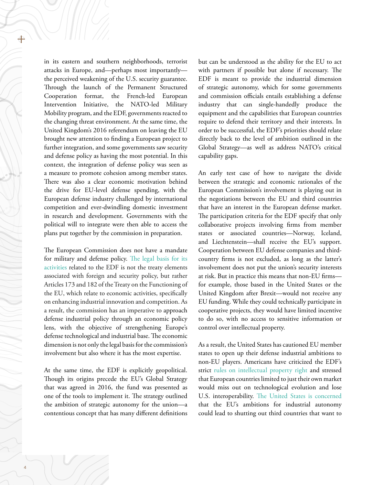in its eastern and southern neighborhoods, terrorist attacks in Europe, and—perhaps most importantly the perceived weakening of the U.S. security guarantee. Through the launch of the Permanent Structured Cooperation format, the French-led European Intervention Initiative, the NATO-led Military Mobility program, and the EDF, governments reacted to the changing threat environment. At the same time, the United Kingdom's 2016 referendum on leaving the EU brought new attention to finding a European project to further integration, and some governments saw security and defense policy as having the most potential. In this context, the integration of defense policy was seen as a measure to promote cohesion among member states. There was also a clear economic motivation behind the drive for EU-level defense spending, with the European defense industry challenged by international competition and ever-dwindling domestic investment in research and development. Governments with the political will to integrate were then able to access the plans put together by the commission in preparation.

The European Commission does not have a mandate for military and defense policy. [The legal basis for its](https://archive.intereconomics.eu/year/2018/6/the-multiannual-financial-framework-and-european-defence/) [activities](https://archive.intereconomics.eu/year/2018/6/the-multiannual-financial-framework-and-european-defence/) related to the EDF is not the treaty elements associated with foreign and security policy, but rather Articles 173 and 182 of the Treaty on the Functioning of the EU, which relate to economic activities, specifically on enhancing industrial innovation and competition. As a result, the commission has an imperative to approach defense industrial policy through an economic policy lens, with the objective of strengthening Europe's defense technological and industrial base. The economic dimension is not only the legal basis for the commission's involvement but also where it has the most expertise.

At the same time, the EDF is explicitly geopolitical. Though its origins precede the EU's Global Strategy that was agreed in 2016, the fund was presented as one of the tools to implement it. The strategy outlined the ambition of strategic autonomy for the union—a contentious concept that has many different definitions

but can be understood as the ability for the EU to act with partners if possible but alone if necessary. The EDF is meant to provide the industrial dimension of strategic autonomy, which for some governments and commission officials entails establishing a defense industry that can single-handedly produce the equipment and the capabilities that European countries require to defend their territory and their interests. In order to be successful, the EDF's priorities should relate directly back to the level of ambition outlined in the Global Strategy—as well as address NATO's critical capability gaps.

An early test case of how to navigate the divide between the strategic and economic rationales of the European Commission's involvement is playing out in the negotiations between the EU and third countries that have an interest in the European defense market. The participation criteria for the EDF specify that only collaborative projects involving firms from member states or associated countries—Norway, Iceland, and Liechtenstein—shall receive the EU's support. Cooperation between EU defense companies and thirdcountry firms is not excluded, as long as the latter's involvement does not put the union's security interests at risk. But in practice this means that non-EU firms for example, those based in the United States or the United Kingdom after Brexit—would not receive any EU funding. While they could technically participate in cooperative projects, they would have limited incentive to do so, with no access to sensitive information or control over intellectual property.

As a result, the United States has cautioned EU member states to open up their defense industrial ambitions to non-EU players. Americans have criticized the EDF's strict [rules on intellectual property right](https://www.bruxelles2.eu/en/2019/03/13/usa-launches-lobbying-operation-to-undermine-european-defense-fund/) and stressed that European countries limited to just their own market would miss out on technological evolution and lose U.S. interoperability. [The United States is concerned](https://warontherocks.com/2019/06/the-importance-of-being-protectionist-a-long-view-of-the-european-defense-fund/) that the EU's ambitions for industrial autonomy could lead to shutting out third countries that want to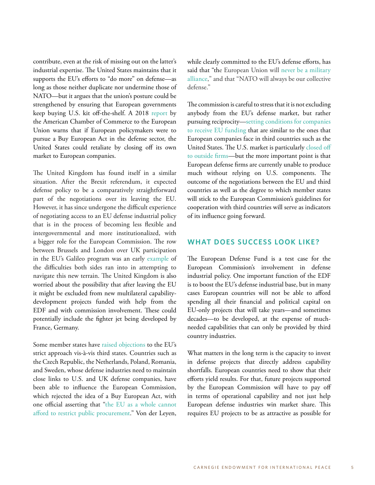contribute, even at the risk of missing out on the latter's industrial expertise. The United States maintains that it supports the EU's efforts to "do more" on defense—as long as those neither duplicate nor undermine those of NATO—but it argues that the union's posture could be strengthened by ensuring that European governments keep buying U.S. kit off-the-shelf. A 2018 [report](https://www.amchameu.eu/system/files/position_papers/final_website_edap_with_recommendations.pdf) by the American Chamber of Commerce to the European Union warns that if European policymakers were to pursue a Buy European Act in the defense sector, the United States could retaliate by closing off its own market to European companies.

The United Kingdom has found itself in a similar situation. After the Brexit referendum, it expected defense policy to be a comparatively straightforward part of the negotiations over its leaving the EU. However, it has since undergone the difficult experience of negotiating access to an EU defense industrial policy that is in the process of becoming less flexible and intergovernmental and more institutionalized, with a bigger role for the European Commission. The row between Brussels and London over UK participation in the EU's Galileo program was an early [example](file:///C:/Users/sophiabesch/Library/Group Containers/3L68KQB4HG.group.com.readdle.smartemail/databases/messagesData/1/42302/besch galileo) of the difficulties both sides ran into in attempting to navigate this new terrain. The United Kingdom is also worried about the possibility that after leaving the EU it might be excluded from new multilateral capabilitydevelopment projects funded with help from the EDF and with commission involvement. These could potentially include the fighter jet being developed by France, Germany.

Some member states have [raised objections](https://www.politico.eu/article/europe-defense-pesco-military-extend-cooperation-to-non-eu-countries-say-benelux-countries/) to the EU's strict approach vis-à-vis third states. Countries such as the Czech Republic, the Netherlands, Poland, Romania, and Sweden, whose defense industries need to maintain close links to U.S. and UK defense companies, have been able to influence the European Commission, which rejected the idea of a Buy European Act, with one official asserting that ["the EU as a whole cannot](https://www.politico.eu/article/commission-vice-president-the-eu-cannot-afford-macrons-buy-european-act/)  [afford to restrict public procurement](https://www.politico.eu/article/commission-vice-president-the-eu-cannot-afford-macrons-buy-european-act/)." Von der Leyen,

while clearly committed to the EU's defense efforts, has said that "the European Union will [never be a military](https://www.reuters.com/article/us-eu-jobs-defence/eu-creates-defence-and-space-branch-to-complement-nato-idUSKCN1VV1CX) [alliance,](https://www.reuters.com/article/us-eu-jobs-defence/eu-creates-defence-and-space-branch-to-complement-nato-idUSKCN1VV1CX)" and that "NATO will always be our collective defense."

The commission is careful to stress that it is not excluding anybody from the EU's defense market, but rather pursuing reciprocity[—setting conditions for companies](https://ec.europa.eu/docsroom/documents/34509) [to receive EU funding](https://ec.europa.eu/docsroom/documents/34509) that are similar to the ones that European companies face in third countries such as the United States. The U.S. market is particularly [closed off](https://www.iss.europa.eu/content/poison-pill-eu-defence-us-terms)  [to outside firms—](https://www.iss.europa.eu/content/poison-pill-eu-defence-us-terms)but the more important point is that European defense firms are currently unable to produce much without relying on U.S. components. The outcome of the negotiations between the EU and third countries as well as the degree to which member states will stick to the European Commission's guidelines for cooperation with third countries will serve as indicators of its influence going forward.

#### **WHAT DOES SUCCESS LOOK LIKE?**

The European Defense Fund is a test case for the European Commission's involvement in defense industrial policy. One important function of the EDF is to boost the EU's defense industrial base, but in many cases European countries will not be able to afford spending all their financial and political capital on EU-only projects that will take years—and sometimes decades—to be developed, at the expense of muchneeded capabilities that can only be provided by third country industries.

What matters in the long term is the capacity to invest in defense projects that directly address capability shortfalls. European countries need to show that their efforts yield results. For that, future projects supported by the European Commission will have to pay off in terms of operational capability and not just help European defense industries win market share. This requires EU projects to be as attractive as possible for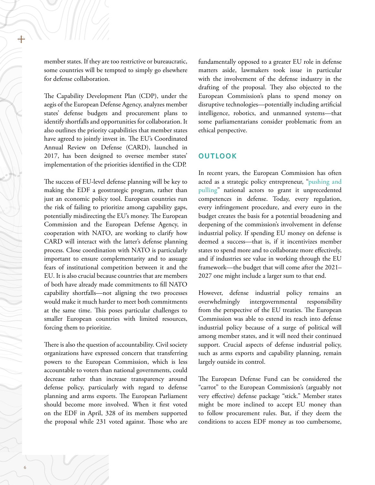member states. If they are too restrictive or bureaucratic, some countries will be tempted to simply go elsewhere for defense collaboration.

The Capability Development Plan (CDP), under the aegis of the European Defense Agency, analyzes member states' defense budgets and procurement plans to identify shortfalls and opportunities for collaboration. It also outlines the priority capabilities that member states have agreed to jointly invest in. The EU's Coordinated Annual Review on Defense (CARD), launched in 2017, has been designed to oversee member states' implementation of the priorities identified in the CDP.

The success of EU-level defense planning will be key to making the EDF a geostrategic program, rather than just an economic policy tool. European countries run the risk of failing to prioritize among capability gaps, potentially misdirecting the EU's money. The European Commission and the European Defense Agency, in cooperation with NATO, are working to clarify how CARD will interact with the latter's defense planning process. Close coordination with NATO is particularly important to ensure complementarity and to assuage fears of institutional competition between it and the EU. It is also crucial because countries that are members of both have already made commitments to fill NATO capability shortfalls—not aligning the two processes would make it much harder to meet both commitments at the same time. This poses particular challenges to smaller European countries with limited resources, forcing them to prioritize.

There is also the question of accountability. Civil society organizations have expressed concern that transferring powers to the European Commission, which is less accountable to voters than national governments, could decrease rather than increase transparency around defense policy, particularly with regard to defense planning and arms exports. The European Parliament should become more involved. When it first voted on the EDF in April, 328 of its members supported the proposal while 231 voted against. Those who are

fundamentally opposed to a greater EU role in defense matters aside, lawmakers took issue in particular with the involvement of the defense industry in the drafting of the proposal. They also objected to the European Commission's plans to spend money on disruptive technologies—potentially including artificial intelligence, robotics, and unmanned systems—that some parliamentarians consider problematic from an ethical perspective.

### **OUTLOOK**

In recent years, the European Commission has often acted as a strategic policy entrepreneur, ["pushing and](https://www.tandfonline.com/doi/abs/10.1080/13501763.2013.781783)  [pulling"](https://www.tandfonline.com/doi/abs/10.1080/13501763.2013.781783) national actors to grant it unprecedented competences in defense. Today, every regulation, every infringement procedure, and every euro in the budget creates the basis for a potential broadening and deepening of the commission's involvement in defense industrial policy. If spending EU money on defense is deemed a success—that is, if it incentivizes member states to spend more and to collaborate more effectively, and if industries see value in working through the EU framework—the budget that will come after the 2021– 2027 one might include a larger sum to that end.

However, defense industrial policy remains an overwhelmingly intergovernmental responsibility from the perspective of the EU treaties. The European Commission was able to extend its reach into defense industrial policy because of a surge of political will among member states, and it will need their continued support. Crucial aspects of defense industrial policy, such as arms exports and capability planning, remain largely outside its control.

The European Defense Fund can be considered the "carrot" to the European Commission's (arguably not very effective) defense package "stick." Member states might be more inclined to accept EU money than to follow procurement rules. But, if they deem the conditions to access EDF money as too cumbersome,